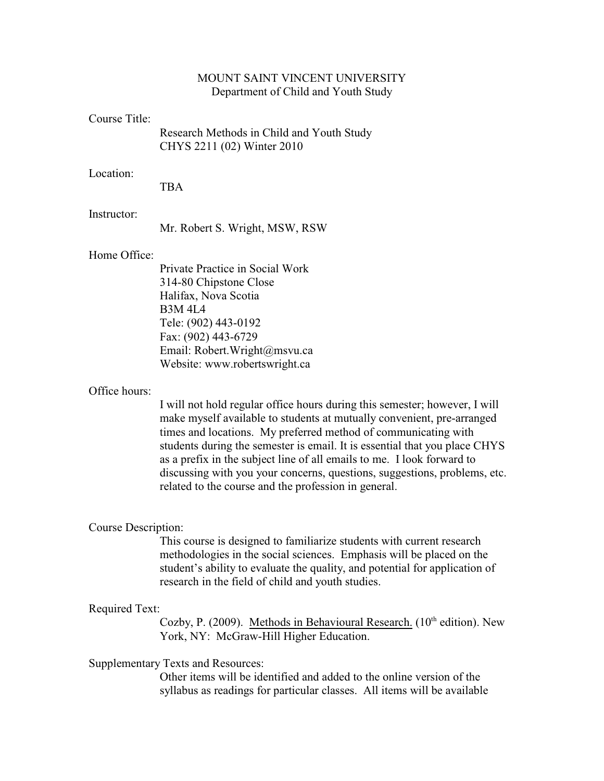# MOUNT SAINT VINCENT UNIVERSITY Department of Child and Youth Study

### Course Title:

Research Methods in Child and Youth Study CHYS 2211 (02) Winter 2010

# Location:

TBA

#### Instructor:

Mr. Robert S. Wright, MSW, RSW

# Home Office:

Private Practice in Social Work 314-80 Chipstone Close Halifax, Nova Scotia B3M 4L4 Tele: (902) 443-0192 Fax: (902) 443-6729 Email: Robert.Wright@msvu.ca Website: www.robertswright.ca

## Office hours:

I will not hold regular office hours during this semester; however, I will make myself available to students at mutually convenient, pre-arranged times and locations. My preferred method of communicating with students during the semester is email. It is essential that you place CHYS as a prefix in the subject line of all emails to me. I look forward to discussing with you your concerns, questions, suggestions, problems, etc. related to the course and the profession in general.

## Course Description:

This course is designed to familiarize students with current research methodologies in the social sciences. Emphasis will be placed on the student's ability to evaluate the quality, and potential for application of research in the field of child and youth studies.

#### Required Text:

Cozby, P. (2009). Methods in Behavioural Research. ( $10<sup>th</sup>$  edition). New York, NY: McGraw-Hill Higher Education.

### Supplementary Texts and Resources:

Other items will be identified and added to the online version of the syllabus as readings for particular classes. All items will be available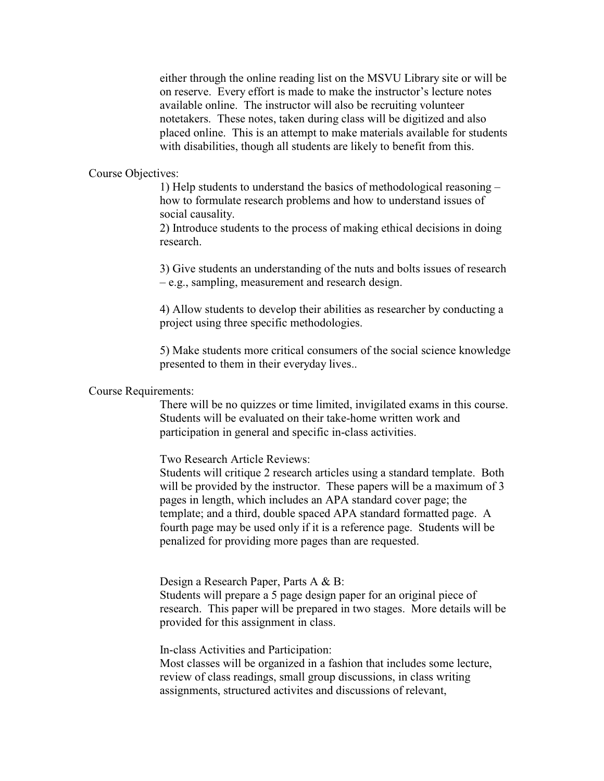either through the online reading list on the MSVU Library site or will be on reserve. Every effort is made to make the instructor's lecture notes available online. The instructor will also be recruiting volunteer notetakers. These notes, taken during class will be digitized and also placed online. This is an attempt to make materials available for students with disabilities, though all students are likely to benefit from this.

### Course Objectives:

1) Help students to understand the basics of methodological reasoning – how to formulate research problems and how to understand issues of social causality.

2) Introduce students to the process of making ethical decisions in doing research.

3) Give students an understanding of the nuts and bolts issues of research – e.g., sampling, measurement and research design.

4) Allow students to develop their abilities as researcher by conducting a project using three specific methodologies.

5) Make students more critical consumers of the social science knowledge presented to them in their everyday lives..

## Course Requirements:

There will be no quizzes or time limited, invigilated exams in this course. Students will be evaluated on their take-home written work and participation in general and specific in-class activities.

Two Research Article Reviews:

Students will critique 2 research articles using a standard template. Both will be provided by the instructor. These papers will be a maximum of 3 pages in length, which includes an APA standard cover page; the template; and a third, double spaced APA standard formatted page. A fourth page may be used only if it is a reference page. Students will be penalized for providing more pages than are requested.

Design a Research Paper, Parts A & B:

Students will prepare a 5 page design paper for an original piece of research. This paper will be prepared in two stages. More details will be provided for this assignment in class.

In-class Activities and Participation:

Most classes will be organized in a fashion that includes some lecture, review of class readings, small group discussions, in class writing assignments, structured activites and discussions of relevant,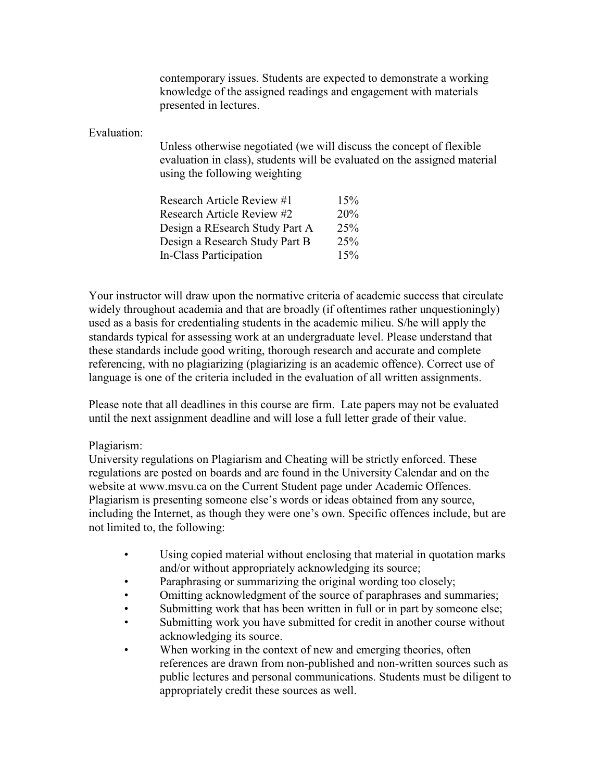contemporary issues. Students are expected to demonstrate a working knowledge of the assigned readings and engagement with materials presented in lectures.

Evaluation:

Unless otherwise negotiated (we will discuss the concept of flexible evaluation in class), students will be evaluated on the assigned material using the following weighting

| Research Article Review #1        | 15% |
|-----------------------------------|-----|
| <b>Research Article Review #2</b> | 20% |
| Design a REsearch Study Part A    | 25% |
| Design a Research Study Part B    | 25% |
| In-Class Participation            | 15% |

Your instructor will draw upon the normative criteria of academic success that circulate widely throughout academia and that are broadly (if oftentimes rather unquestioningly) used as a basis for credentialing students in the academic milieu. S/he will apply the standards typical for assessing work at an undergraduate level. Please understand that these standards include good writing, thorough research and accurate and complete referencing, with no plagiarizing (plagiarizing is an academic offence). Correct use of language is one of the criteria included in the evaluation of all written assignments.

Please note that all deadlines in this course are firm. Late papers may not be evaluated until the next assignment deadline and will lose a full letter grade of their value.

## Plagiarism:

University regulations on Plagiarism and Cheating will be strictly enforced. These regulations are posted on boards and are found in the University Calendar and on the website at www.msvu.ca on the Current Student page under Academic Offences. Plagiarism is presenting someone else's words or ideas obtained from any source, including the Internet, as though they were one's own. Specific offences include, but are not limited to, the following:

- Using copied material without enclosing that material in quotation marks and/or without appropriately acknowledging its source;
- Paraphrasing or summarizing the original wording too closely;
- Omitting acknowledgment of the source of paraphrases and summaries;
- Submitting work that has been written in full or in part by someone else;
- Submitting work you have submitted for credit in another course without acknowledging its source.
- When working in the context of new and emerging theories, often references are drawn from non-published and non-written sources such as public lectures and personal communications. Students must be diligent to appropriately credit these sources as well.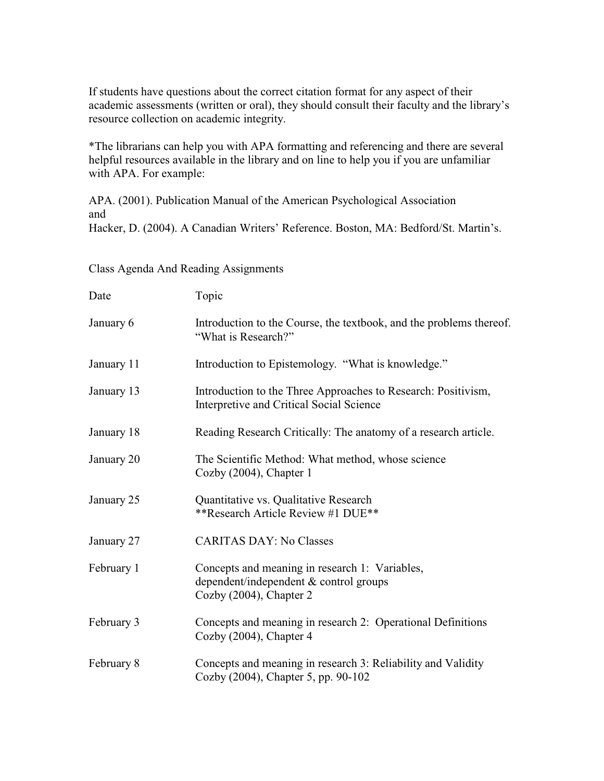If students have questions about the correct citation format for any aspect of their academic assessments (written or oral), they should consult their faculty and the library's resource collection on academic integrity.

\*The librarians can help you with APA formatting and referencing and there are several helpful resources available in the library and on line to help you if you are unfamiliar with APA. For example:

APA. (2001). Publication Manual of the American Psychological Association and Hacker, D. (2004). A Canadian Writers' Reference. Boston, MA: Bedford/St. Martin's.

Class Agenda And Reading Assignments

| Date       | Topic                                                                                                               |  |  |
|------------|---------------------------------------------------------------------------------------------------------------------|--|--|
| January 6  | Introduction to the Course, the textbook, and the problems thereof.<br>"What is Research?"                          |  |  |
| January 11 | Introduction to Epistemology. "What is knowledge."                                                                  |  |  |
| January 13 | Introduction to the Three Approaches to Research: Positivism,<br>Interpretive and Critical Social Science           |  |  |
| January 18 | Reading Research Critically: The anatomy of a research article.                                                     |  |  |
| January 20 | The Scientific Method: What method, whose science<br>Cozby (2004), Chapter 1                                        |  |  |
| January 25 | Quantitative vs. Qualitative Research<br>**Research Article Review #1 DUE**                                         |  |  |
| January 27 | <b>CARITAS DAY: No Classes</b>                                                                                      |  |  |
| February 1 | Concepts and meaning in research 1: Variables,<br>dependent/independent & control groups<br>Cozby (2004), Chapter 2 |  |  |
| February 3 | Concepts and meaning in research 2: Operational Definitions<br>Cozby (2004), Chapter 4                              |  |  |
| February 8 | Concepts and meaning in research 3: Reliability and Validity<br>Cozby (2004), Chapter 5, pp. 90-102                 |  |  |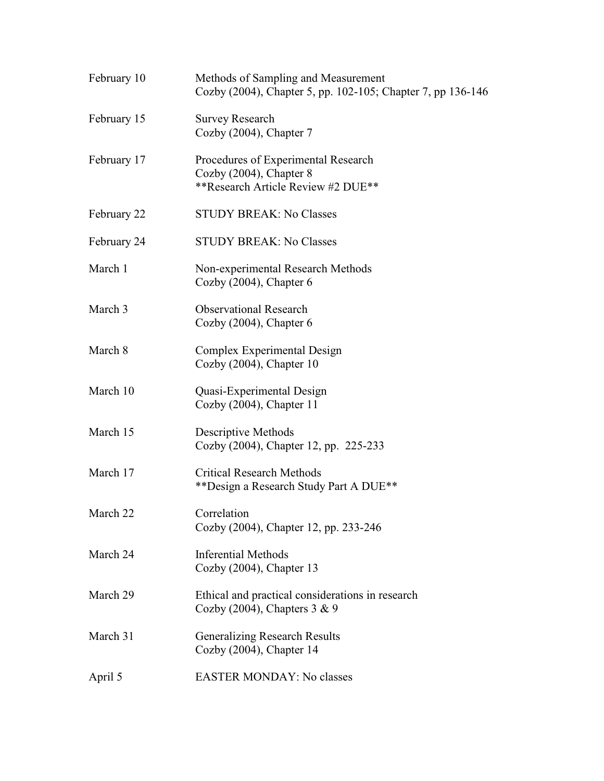| February 10 | Methods of Sampling and Measurement<br>Cozby (2004), Chapter 5, pp. 102-105; Chapter 7, pp 136-146   |
|-------------|------------------------------------------------------------------------------------------------------|
| February 15 | <b>Survey Research</b><br>Cozby (2004), Chapter 7                                                    |
| February 17 | Procedures of Experimental Research<br>Cozby (2004), Chapter 8<br>**Research Article Review #2 DUE** |
| February 22 | <b>STUDY BREAK: No Classes</b>                                                                       |
| February 24 | <b>STUDY BREAK: No Classes</b>                                                                       |
| March 1     | Non-experimental Research Methods<br>Cozby $(2004)$ , Chapter 6                                      |
| March 3     | <b>Observational Research</b><br>Cozby $(2004)$ , Chapter 6                                          |
| March 8     | Complex Experimental Design<br>Cozby (2004), Chapter 10                                              |
| March 10    | Quasi-Experimental Design<br>Cozby (2004), Chapter 11                                                |
| March 15    | Descriptive Methods<br>Cozby (2004), Chapter 12, pp. 225-233                                         |
| March 17    | <b>Critical Research Methods</b><br>** Design a Research Study Part A DUE**                          |
| March 22    | Correlation<br>Cozby (2004), Chapter 12, pp. 233-246                                                 |
| March 24    | <b>Inferential Methods</b><br>Cozby (2004), Chapter 13                                               |
| March 29    | Ethical and practical considerations in research<br>Cozby (2004), Chapters $3 \& 9$                  |
| March 31    | <b>Generalizing Research Results</b><br>Cozby (2004), Chapter 14                                     |
| April 5     | <b>EASTER MONDAY: No classes</b>                                                                     |